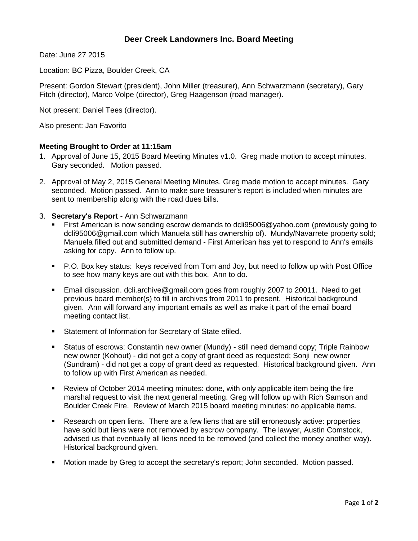# **Deer Creek Landowners Inc. Board Meeting**

Date: June 27 2015

Location: BC Pizza, Boulder Creek, CA

Present: Gordon Stewart (president), John Miller (treasurer), Ann Schwarzmann (secretary), Gary Fitch (director), Marco Volpe (director), Greg Haagenson (road manager).

Not present: Daniel Tees (director).

Also present: Jan Favorito

#### **Meeting Brought to Order at 11:15am**

- 1. Approval of June 15, 2015 Board Meeting Minutes v1.0. Greg made motion to accept minutes. Gary seconded. Motion passed.
- 2. Approval of May 2, 2015 General Meeting Minutes. Greg made motion to accept minutes. Gary seconded. Motion passed. Ann to make sure treasurer's report is included when minutes are sent to membership along with the road dues bills.
- 3. **Secretary's Report** Ann Schwarzmann
	- First American is now sending escrow demands to dcli95006@yahoo.com (previously going to dcli95006@gmail.com which Manuela still has ownership of). Mundy/Navarrete property sold; Manuela filled out and submitted demand - First American has yet to respond to Ann's emails asking for copy. Ann to follow up.
	- P.O. Box key status: keys received from Tom and Joy, but need to follow up with Post Office to see how many keys are out with this box. Ann to do.
	- Email discussion. dcli.archive@gmail.com goes from roughly 2007 to 20011. Need to get previous board member(s) to fill in archives from 2011 to present. Historical background given. Ann will forward any important emails as well as make it part of the email board meeting contact list.
	- **Statement of Information for Secretary of State efiled.**
	- Status of escrows: Constantin new owner (Mundy) still need demand copy; Triple Rainbow new owner (Kohout) - did not get a copy of grant deed as requested; Sonji new owner (Sundram) - did not get a copy of grant deed as requested. Historical background given. Ann to follow up with First American as needed.
	- Review of October 2014 meeting minutes: done, with only applicable item being the fire marshal request to visit the next general meeting. Greg will follow up with Rich Samson and Boulder Creek Fire. Review of March 2015 board meeting minutes: no applicable items.
	- Research on open liens. There are a few liens that are still erroneously active: properties have sold but liens were not removed by escrow company. The lawyer, Austin Comstock, advised us that eventually all liens need to be removed (and collect the money another way). Historical background given.
	- Motion made by Greg to accept the secretary's report; John seconded. Motion passed.